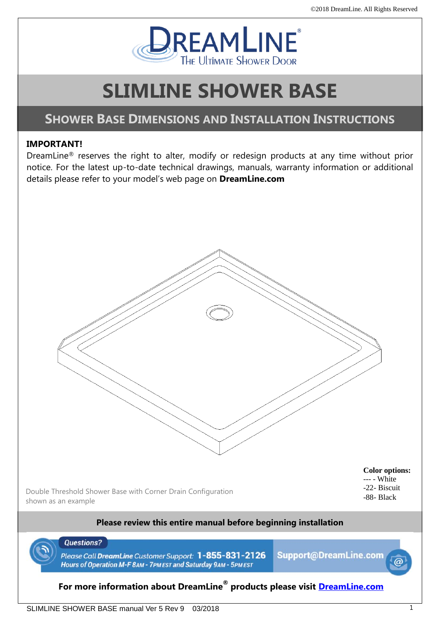

# **SLIMLINE SHOWER BASE**

# **SHOWER BASE DIMENSIONS AND INSTALLATION INSTRUCTIONS**

### **IMPORTANT!**

DreamLine® reserves the right to alter, modify or redesign products at any time without prior notice. For the latest up-to-date technical drawings, manuals, warranty information or additional details please refer to your model's web page on **DreamLine.com**



### **Please review this entire manual before beginning installation**



**Questions?** 

Please Call DreamLine Customer Support: 1-855-831-2126 Hours of Operation M-F 8AM - 7PM EST and Saturday 9AM - 5PM EST

Support@DreamLine.com

## **For more information about DreamLine® products please visit [DreamLine.com](http://www.dreamline.com/)**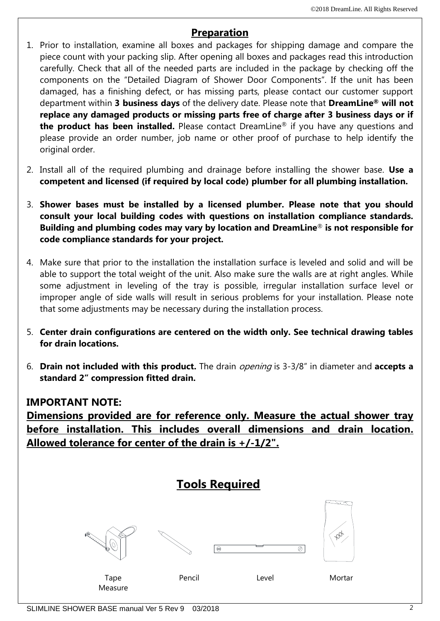# **Preparation**

- 1. Prior to installation, examine all boxes and packages for shipping damage and compare the piece count with your packing slip. After opening all boxes and packages read this introduction carefully. Check that all of the needed parts are included in the package by checking off the components on the "Detailed Diagram of Shower Door Components". If the unit has been damaged, has a finishing defect, or has missing parts, please contact our customer support department within **3 business days** of the delivery date. Please note that **DreamLine® will not replace any damaged products or missing parts free of charge after 3 business days or if the product has been installed.** Please contact DreamLine® if you have any questions and please provide an order number, job name or other proof of purchase to help identify the original order.
- 2. Install all of the required plumbing and drainage before installing the shower base. **Use a competent and licensed (if required by local code) plumber for all plumbing installation.**
- 3. **Shower bases must be installed by a licensed plumber. Please note that you should consult your local building codes with questions on installation compliance standards. Building and plumbing codes may vary by location and DreamLine**® **is not responsible for code compliance standards for your project.**
- 4. Make sure that prior to the installation the installation surface is leveled and solid and will be able to support the total weight of the unit. Also make sure the walls are at right angles. While some adjustment in leveling of the tray is possible, irregular installation surface level or improper angle of side walls will result in serious problems for your installation. Please note that some adjustments may be necessary during the installation process.
- 5. **Center drain configurations are centered on the width only. See technical drawing tables for drain locations.**
- 6. **Drain not included with this product.** The drain opening is 3-3/8" in diameter and **accepts a standard 2" compression fitted drain.**

# **IMPORTANT NOTE:**

**Dimensions provided are for reference only. Measure the actual shower tray before installation. This includes overall dimensions and drain location. Allowed tolerance for center of the drain is +/-1/2".**

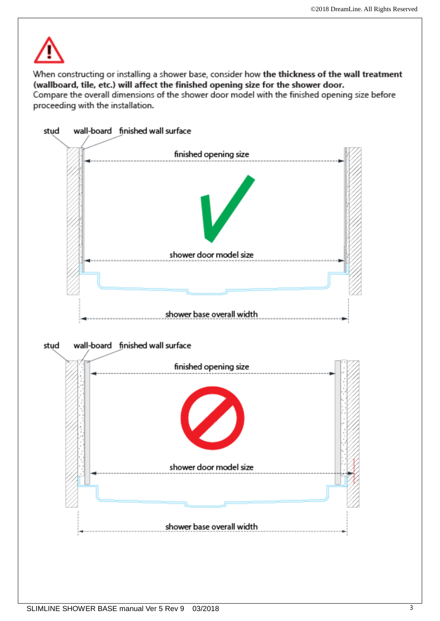

When constructing or installing a shower base, consider how the thickness of the wall treatment (wallboard, tile, etc.) will affect the finished opening size for the shower door.

Compare the overall dimensions of the shower door model with the finished opening size before proceeding with the installation.

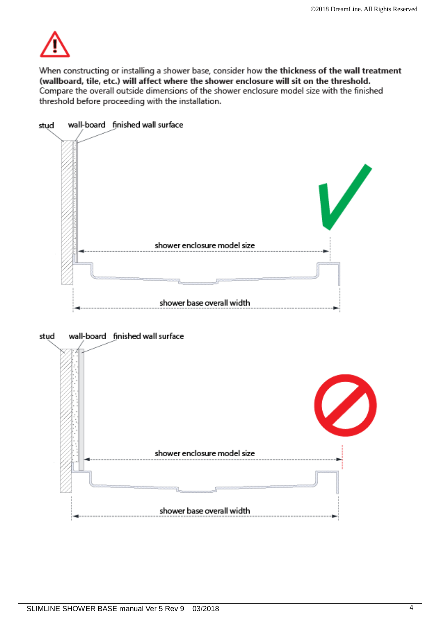

When constructing or installing a shower base, consider how the thickness of the wall treatment (wallboard, tile, etc.) will affect where the shower enclosure will sit on the threshold. Compare the overall outside dimensions of the shower enclosure model size with the finished threshold before proceeding with the installation.

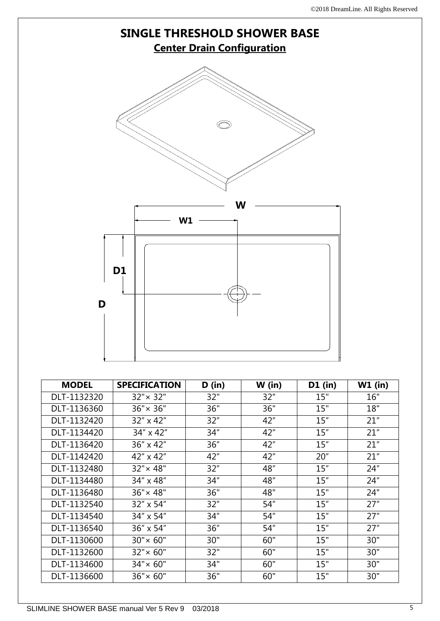

| DLI IITILTILU | ᅕᆮᆺᅕ               | −™  | −∼   | ∠∪  | ᅀᆂ   |
|---------------|--------------------|-----|------|-----|------|
| DLT-1132480   | $32" \times 48"$   | 32" | 48"  | 15" | 24"  |
| DLT-1134480   | 34" x 48"          | 34" | 48"  | 15" | 24'' |
| DLT-1136480   | $36'' \times 48''$ | 36" | 48"  | 15" | 24"  |
| DLT-1132540   | 32" x 54"          | 32" | 54'' | 15" | 27"  |
| DLT-1134540   | 34" x 54"          | 34" | 54'' | 15" | 27"  |
| DLT-1136540   | 36" x 54"          | 36" | 54'' | 15" | 27"  |
| DLT-1130600   | $30'' \times 60''$ | 30" | 60"  | 15" | 30"  |
| DLT-1132600   | $32" \times 60"$   | 32" | 60"  | 15" | 30"  |
| DLT-1134600   | $34'' \times 60''$ | 34" | 60"  | 15" | 30"  |
| DLT-1136600   | $36'' \times 60''$ | 36" | 60"  | 15" | 30"  |
|               |                    |     |      |     |      |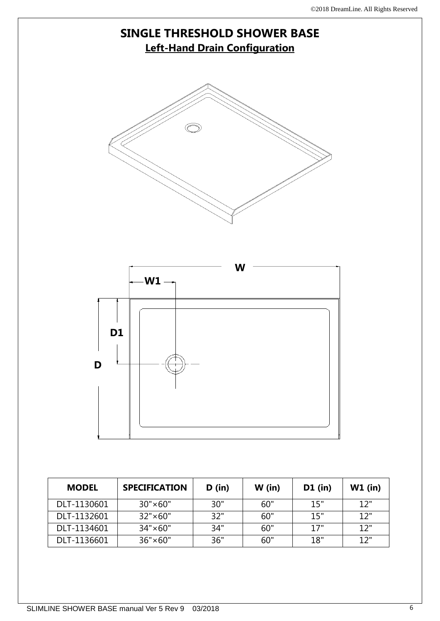# **SINGLE THRESHOLD SHOWER BASE Left-Hand Drain Configuration W D D1 W1**

| <b>MODEL</b> | <b>SPECIFICATION</b> | D (in) | $W$ (in) | $D1$ (in) | $W1$ (in) |
|--------------|----------------------|--------|----------|-----------|-----------|
| DLT-1130601  | $30" \times 60"$     | 30"    | 60"      | 15"       | 12"       |
| DLT-1132601  | $32" \times 60"$     | 32"    | 60"      | 15"       | 12"       |
| DLT-1134601  | $34" \times 60"$     | 34"    | 60"      | 17"       | 12"       |
| DLT-1136601  | $36" \times 60"$     | 36"    | 60"      | 18"       | 12"       |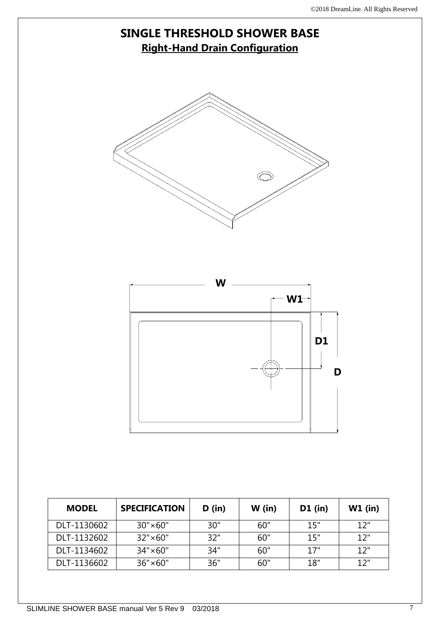**D**

# **SINGLE THRESHOLD SHOWER BASE Right-Hand Drain Configuration W1 W D1**

| <b>MODEL</b> | <b>SPECIFICATION</b> | D (in) | $W$ (in) | $D1$ (in) | $W1$ (in) |
|--------------|----------------------|--------|----------|-----------|-----------|
| DLT-1130602  | $30" \times 60"$     | 30"    | 60"      | 15"       | 12"       |
| DLT-1132602  | $32" \times 60"$     | 32"    | 60"      | 15"       | 12"       |
| DLT-1134602  | $34" \times 60"$     | 34"    | 60"      | 17"       | 12"       |
| DLT-1136602  | $36" \times 60"$     | 36"    | 60"      | 18"       | 12"       |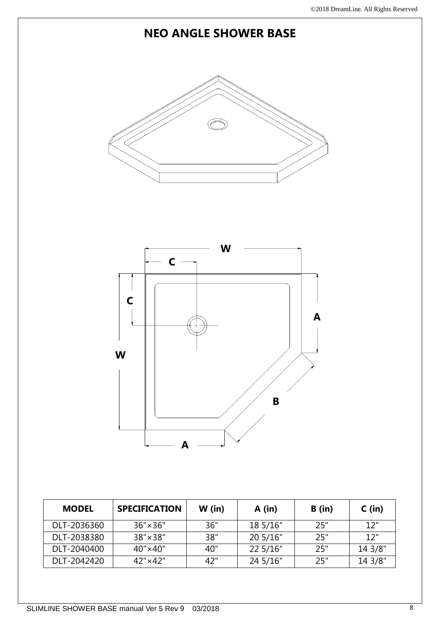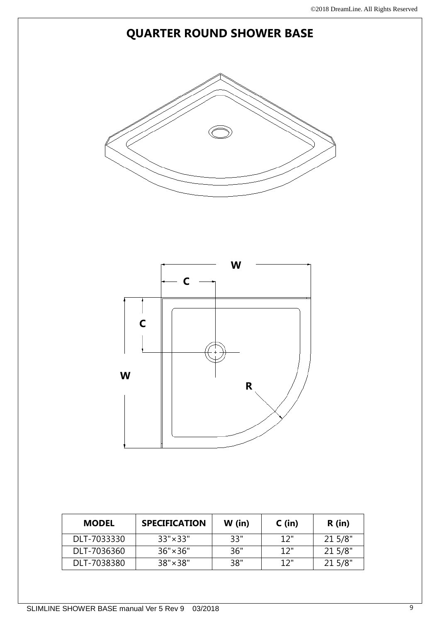# **QUARTER ROUND SHOWER BASE**



| <b>MODEL</b> | <b>SPECIFICATION</b> | $W$ (in) | $C$ (in) | $R$ (in) |
|--------------|----------------------|----------|----------|----------|
| DLT-7033330  | $33" \times 33"$     | 33"      | 12"      | 21 5/8"  |
| DLT-7036360  | $36" \times 36"$     | 36"      | 12"      | 21 5/8"  |
| DLT-7038380  | $38" \times 38"$     | 38"      | 12"      | 21 5/8"  |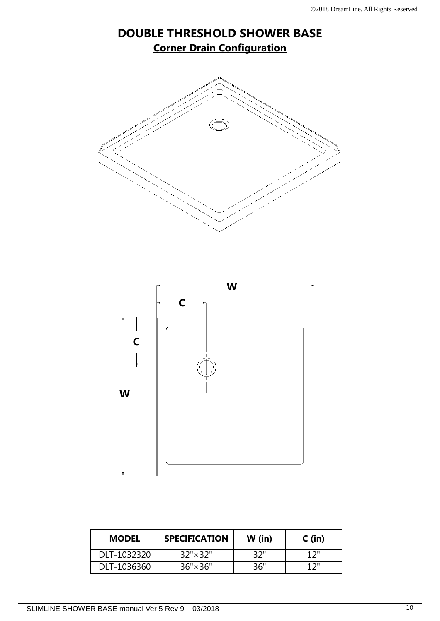

| <b>MODEL</b> | <b>SPECIFICATION</b> | $W$ (in) | $C$ (in) |
|--------------|----------------------|----------|----------|
| DLT-1032320  | $32" \times 32"$     | 32"      | 1つ"      |
| DLT-1036360  | $36" \times 36"$     | 36"      | 1つ"      |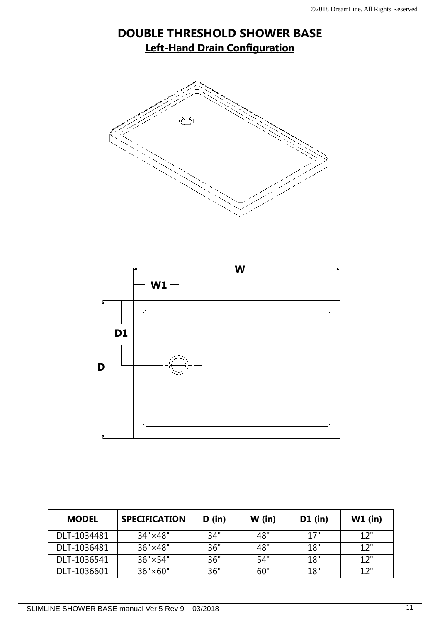

| <b>MODEL</b> | <b>SPECIFICATION</b> | D (in) | $W$ (in) | $D1$ (in) | $W1$ (in) |
|--------------|----------------------|--------|----------|-----------|-----------|
| DLT-1034481  | $34" \times 48"$     | 34"    | 48"      | 17"       | 12"       |
| DLT-1036481  | 36"×48"              | 36"    | 48"      | 18"       | 12"       |
| DLT-1036541  | $36" \times 54"$     | 36"    | 54"      | 18"       | 12"       |
| DLT-1036601  | $36" \times 60"$     | 36"    | 60"      | 18"       | 12"       |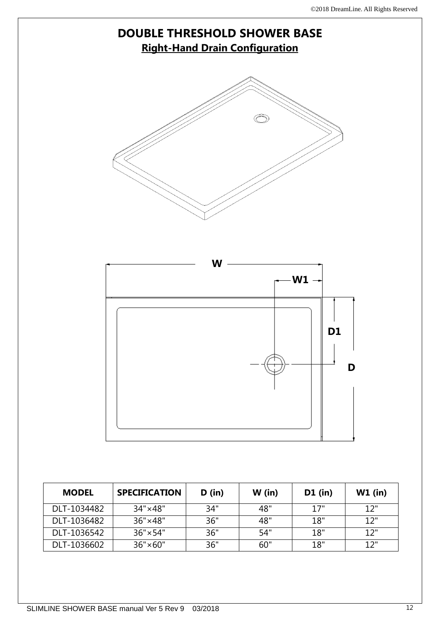| W | W1 |   |
|---|----|---|
|   |    |   |
|   | D1 |   |
|   |    |   |
|   |    | D |
|   |    |   |
|   |    |   |

**MODEL SPECIFICATION D** (in) **W** (in) **D1** (in) **W1** (in)

DLT-1034482 34"×48" 34" 48" 17" 12" DLT-1036482 36"×48" 36" 48" 18" 12" DLT-1036542 36"×54" 36" 54" 18" 12" DLT-1036602 36"×60" | 36" | 60" | 18" | 12"

# **DOUBLE THRESHOLD SHOWER BASE Right-Hand Drain Configuration**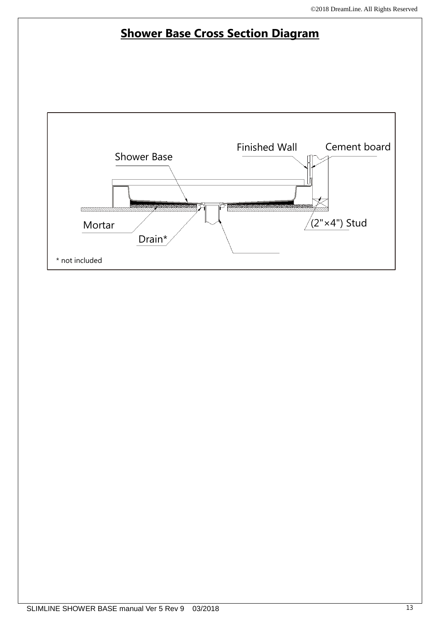# **Shower Base Cross Section Diagram**

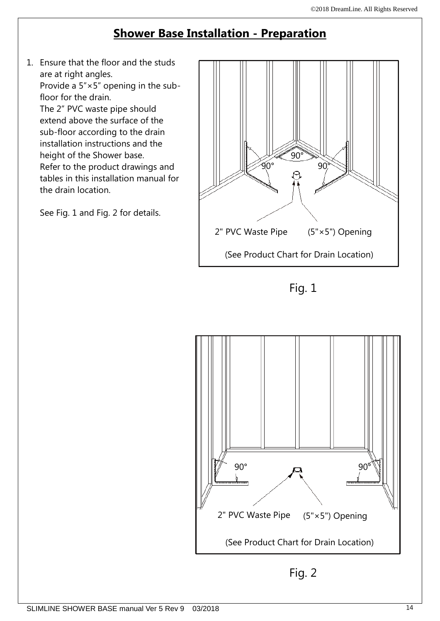# **Shower Base Installation - Preparation**

1. Ensure that the floor and the studs are at right angles. Provide a 5"×5" opening in the subfloor for the drain. The 2" PVC waste pipe should extend above the surface of the sub-floor according to the drain installation instructions and the height of the Shower base. Refer to the product drawings and tables in this installation manual for the drain location.

See Fig. 1 and Fig. 2 for details.



Fig. 1

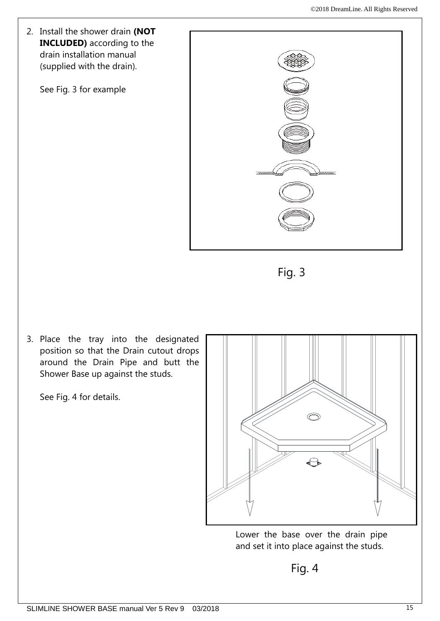

Fig. 3

3. Place the tray into the designated position so that the Drain cutout drops around the Drain Pipe and butt the Shower Base up against the studs.

See Fig. 4 for details.



Lower the base over the drain pipe and set it into place against the studs.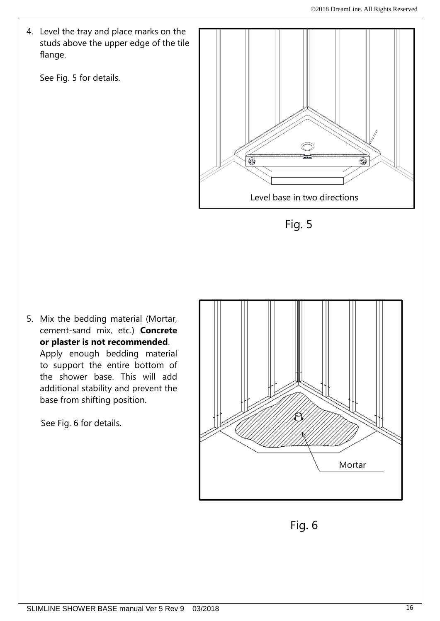4. Level the tray and place marks on the studs above the upper edge of the tile flange.

See Fig. 5 for details.





5. Mix the bedding material (Mortar, cement-sand mix, etc.) **Concrete or plaster is not recommended**. Apply enough bedding material to support the entire bottom of the shower base. This will add additional stability and prevent the base from shifting position.

See Fig. 6 for details.



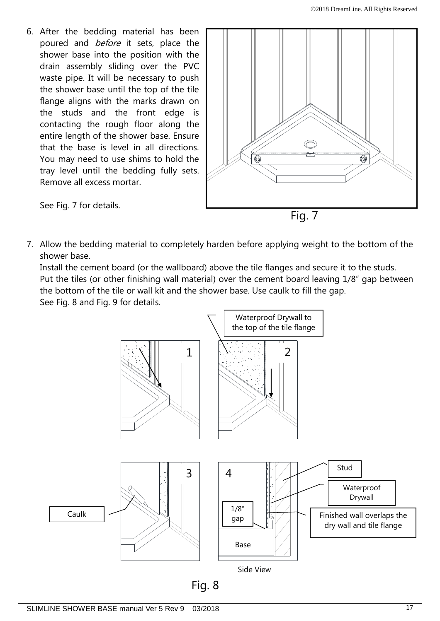6. After the bedding material has been poured and *before* it sets, place the shower base into the position with the drain assembly sliding over the PVC waste pipe. It will be necessary to push the shower base until the top of the tile flange aligns with the marks drawn on the studs and the front edge is contacting the rough floor along the entire length of the shower base. Ensure that the base is level in all directions. You may need to use shims to hold the tray level until the bedding fully sets. Remove all excess mortar.



See Fig. 7 for details.

7. Allow the bedding material to completely harden before applying weight to the bottom of the shower base.

Install the cement board (or the wallboard) above the tile flanges and secure it to the studs. Put the tiles (or other finishing wall material) over the cement board leaving 1/8" gap between the bottom of the tile or wall kit and the shower base. Use caulk to fill the gap. See Fig. 8 and Fig. 9 for details.

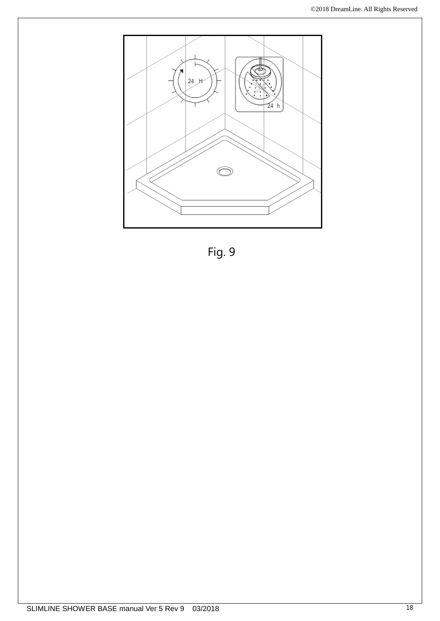

Fig. 9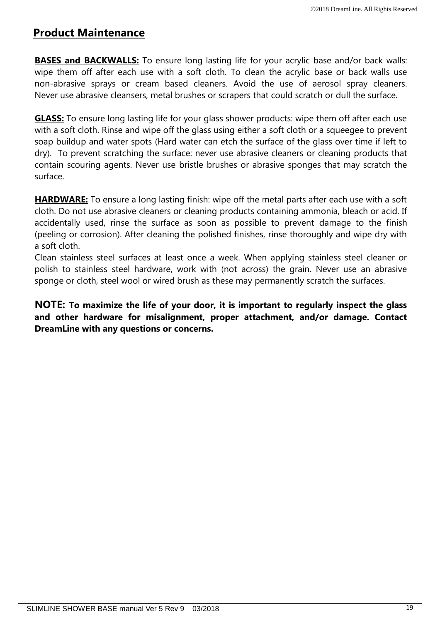# **Product Maintenance**

**BASES and BACKWALLS:** To ensure long lasting life for your acrylic base and/or back walls: wipe them off after each use with a soft cloth. To clean the acrylic base or back walls use non-abrasive sprays or cream based cleaners. Avoid the use of aerosol spray cleaners. Never use abrasive cleansers, metal brushes or scrapers that could scratch or dull the surface.

**GLASS:** To ensure long lasting life for your glass shower products: wipe them off after each use with a soft cloth. Rinse and wipe off the glass using either a soft cloth or a squeegee to prevent soap buildup and water spots (Hard water can etch the surface of the glass over time if left to dry). To prevent scratching the surface: never use abrasive cleaners or cleaning products that contain scouring agents. Never use bristle brushes or abrasive sponges that may scratch the surface.

**HARDWARE:** To ensure a long lasting finish: wipe off the metal parts after each use with a soft cloth. Do not use abrasive cleaners or cleaning products containing ammonia, bleach or acid. If accidentally used, rinse the surface as soon as possible to prevent damage to the finish (peeling or corrosion). After cleaning the polished finishes, rinse thoroughly and wipe dry with a soft cloth.

Clean stainless steel surfaces at least once a week. When applying stainless steel cleaner or polish to stainless steel hardware, work with (not across) the grain. Never use an abrasive sponge or cloth, steel wool or wired brush as these may permanently scratch the surfaces.

**NOTE: To maximize the life of your door, it is important to regularly inspect the glass and other hardware for misalignment, proper attachment, and/or damage. Contact DreamLine with any questions or concerns.**